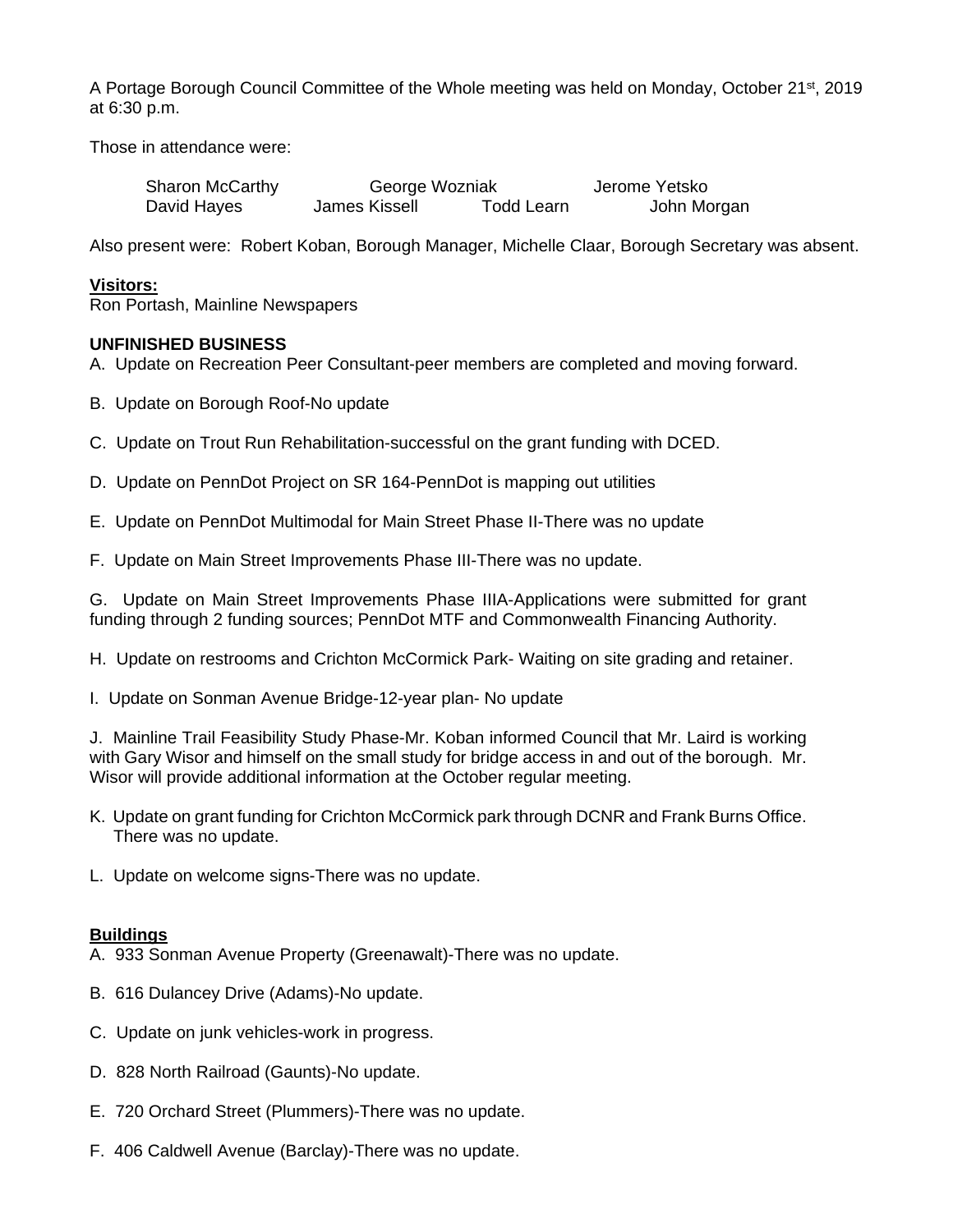A Portage Borough Council Committee of the Whole meeting was held on Monday, October 21st, 2019 at 6:30 p.m.

Those in attendance were:

| <b>Sharon McCarthy</b> | George Wozniak |            | Jerome Yetsko |
|------------------------|----------------|------------|---------------|
| David Hayes            | James Kissell  | Todd Learn | John Morgan   |

Also present were: Robert Koban, Borough Manager, Michelle Claar, Borough Secretary was absent.

## **Visitors:**

Ron Portash, Mainline Newspapers

## **UNFINISHED BUSINESS**

- A. Update on Recreation Peer Consultant-peer members are completed and moving forward.
- B. Update on Borough Roof-No update
- C. Update on Trout Run Rehabilitation-successful on the grant funding with DCED.
- D. Update on PennDot Project on SR 164-PennDot is mapping out utilities
- E. Update on PennDot Multimodal for Main Street Phase II-There was no update
- F. Update on Main Street Improvements Phase III-There was no update.

G. Update on Main Street Improvements Phase IIIA-Applications were submitted for grant funding through 2 funding sources; PennDot MTF and Commonwealth Financing Authority.

H. Update on restrooms and Crichton McCormick Park- Waiting on site grading and retainer.

I. Update on Sonman Avenue Bridge-12-year plan- No update

J. Mainline Trail Feasibility Study Phase-Mr. Koban informed Council that Mr. Laird is working with Gary Wisor and himself on the small study for bridge access in and out of the borough. Mr. Wisor will provide additional information at the October regular meeting.

- K. Update on grant funding for Crichton McCormick park through DCNR and Frank Burns Office. There was no update.
- L. Update on welcome signs-There was no update.

### **Buildings**

- A. 933 Sonman Avenue Property (Greenawalt)-There was no update.
- B. 616 Dulancey Drive (Adams)-No update.
- C. Update on junk vehicles-work in progress.
- D. 828 North Railroad (Gaunts)-No update.
- E. 720 Orchard Street (Plummers)-There was no update.
- F. 406 Caldwell Avenue (Barclay)-There was no update.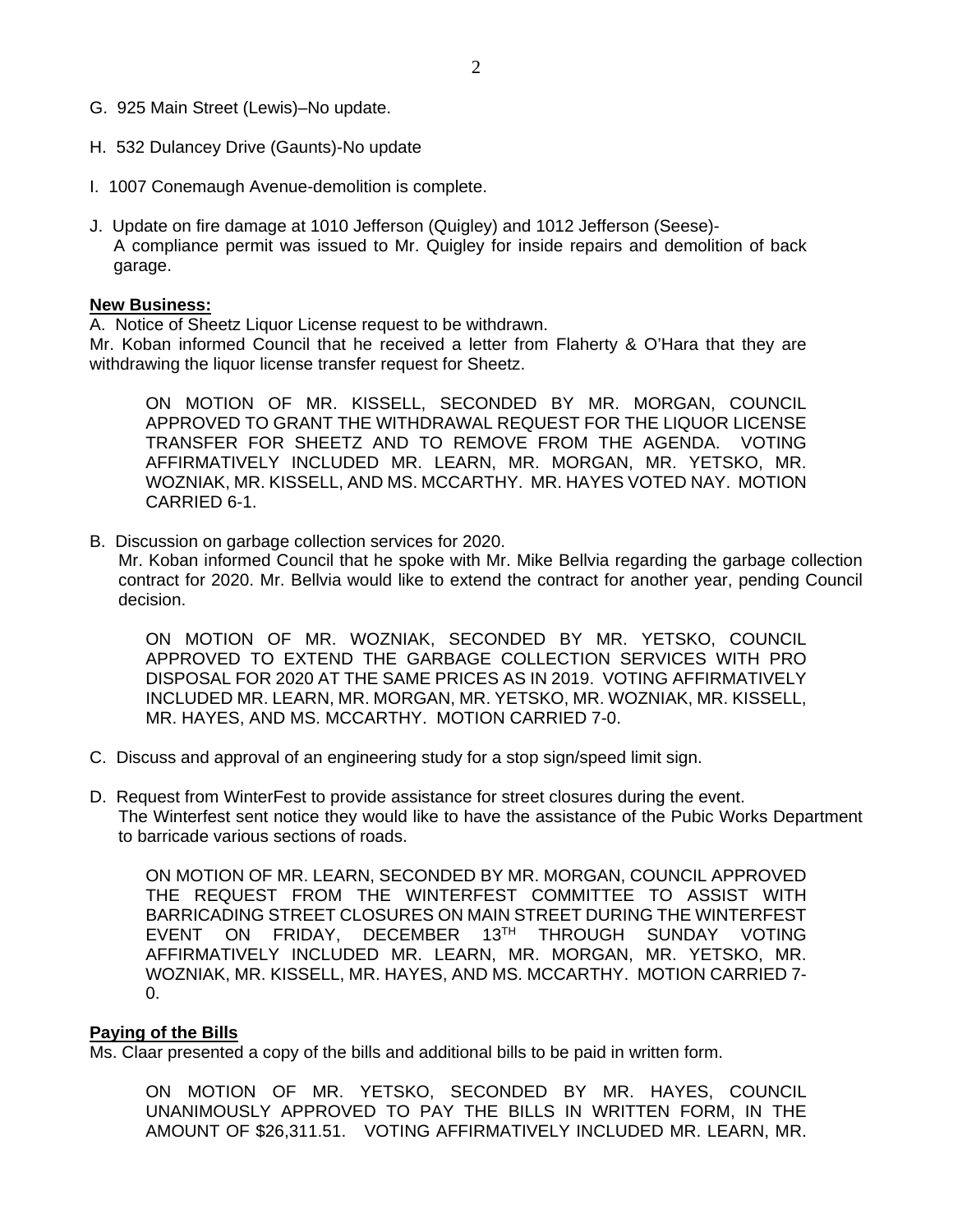- G. 925 Main Street (Lewis)–No update.
- H. 532 Dulancey Drive (Gaunts)-No update
- I. 1007 Conemaugh Avenue-demolition is complete.
- J. Update on fire damage at 1010 Jefferson (Quigley) and 1012 Jefferson (Seese)- A compliance permit was issued to Mr. Quigley for inside repairs and demolition of back garage.

#### **New Business:**

A. Notice of Sheetz Liquor License request to be withdrawn.

Mr. Koban informed Council that he received a letter from Flaherty & O'Hara that they are withdrawing the liquor license transfer request for Sheetz.

ON MOTION OF MR. KISSELL, SECONDED BY MR. MORGAN, COUNCIL APPROVED TO GRANT THE WITHDRAWAL REQUEST FOR THE LIQUOR LICENSE TRANSFER FOR SHEETZ AND TO REMOVE FROM THE AGENDA. VOTING AFFIRMATIVELY INCLUDED MR. LEARN, MR. MORGAN, MR. YETSKO, MR. WOZNIAK, MR. KISSELL, AND MS. MCCARTHY. MR. HAYES VOTED NAY. MOTION CARRIED 6-1.

B. Discussion on garbage collection services for 2020.

Mr. Koban informed Council that he spoke with Mr. Mike Bellvia regarding the garbage collection contract for 2020. Mr. Bellvia would like to extend the contract for another year, pending Council decision.

ON MOTION OF MR. WOZNIAK, SECONDED BY MR. YETSKO, COUNCIL APPROVED TO EXTEND THE GARBAGE COLLECTION SERVICES WITH PRO DISPOSAL FOR 2020 AT THE SAME PRICES AS IN 2019. VOTING AFFIRMATIVELY INCLUDED MR. LEARN, MR. MORGAN, MR. YETSKO, MR. WOZNIAK, MR. KISSELL, MR. HAYES, AND MS. MCCARTHY. MOTION CARRIED 7-0.

- C. Discuss and approval of an engineering study for a stop sign/speed limit sign.
- D. Request from WinterFest to provide assistance for street closures during the event. The Winterfest sent notice they would like to have the assistance of the Pubic Works Department to barricade various sections of roads.

ON MOTION OF MR. LEARN, SECONDED BY MR. MORGAN, COUNCIL APPROVED THE REQUEST FROM THE WINTERFEST COMMITTEE TO ASSIST WITH BARRICADING STREET CLOSURES ON MAIN STREET DURING THE WINTERFEST EVENT ON FRIDAY, DECEMBER 13TH THROUGH SUNDAY VOTING AFFIRMATIVELY INCLUDED MR. LEARN, MR. MORGAN, MR. YETSKO, MR. WOZNIAK, MR. KISSELL, MR. HAYES, AND MS. MCCARTHY. MOTION CARRIED 7- 0.

#### **Paying of the Bills**

Ms. Claar presented a copy of the bills and additional bills to be paid in written form.

ON MOTION OF MR. YETSKO, SECONDED BY MR. HAYES, COUNCIL UNANIMOUSLY APPROVED TO PAY THE BILLS IN WRITTEN FORM, IN THE AMOUNT OF \$26,311.51. VOTING AFFIRMATIVELY INCLUDED MR. LEARN, MR.